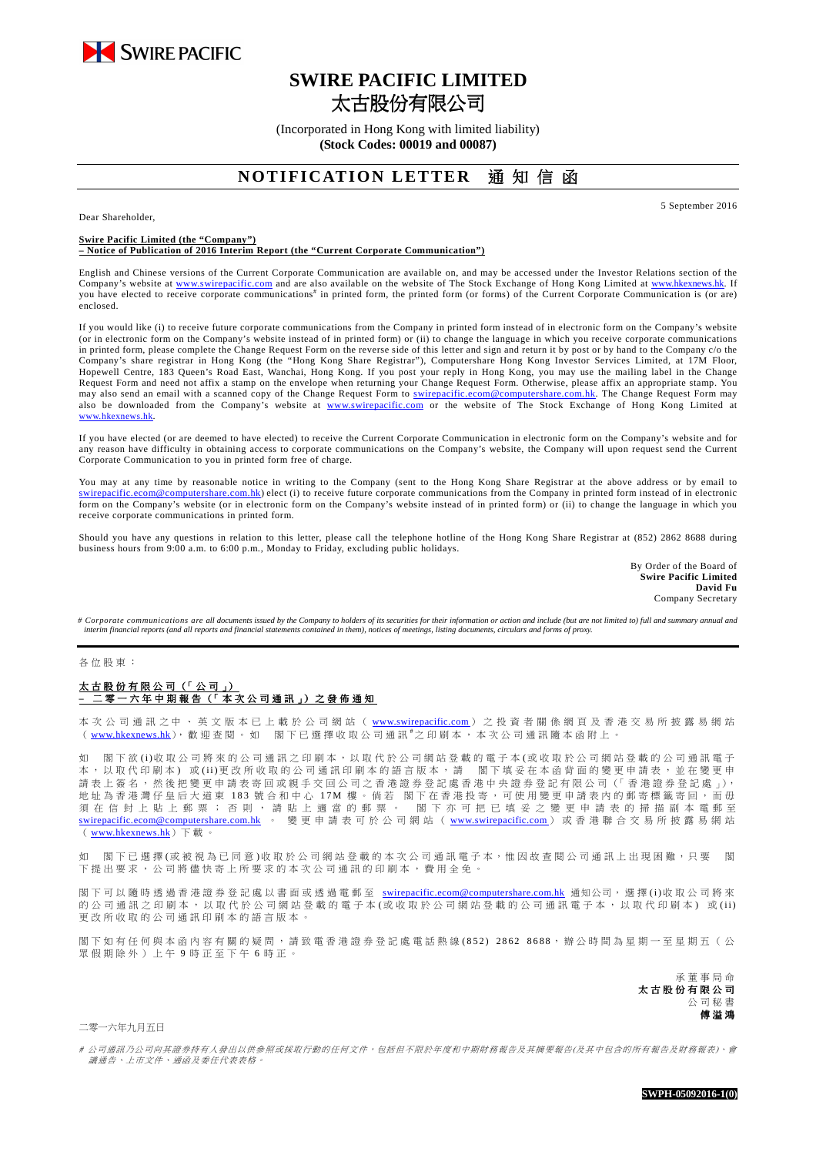

# **SWIRE PACIFIC LIMITED**  太古股份有限公司

(Incorporated in Hong Kong with limited liability) **(Stock Codes: 00019 and 00087)** 

## **NOTIFICATION LETTER** 涌知信函

Dear Shareholder,

5 September 2016

#### **Swire Pacific Limited (the "Company") – Notice of Publication of 2016 Interim Report (the "Current Corporate Communication")**

English and Chinese versions of the Current Corporate Communication are available on, and may be accessed under the Investor Relations section of the Company's website at www.swirepacific.com and are also available on the website of The Stock Exchange of Hong Kong Limited at www.hkexnews.hk. If you have elected to receive corporate communications<sup>#</sup> in printed form, the printed form (or forms) of the Current Corporate Communication is (or are) enclosed.

If you would like (i) to receive future corporate communications from the Company in printed form instead of in electronic form on the Company's website (or in electronic form on the Company's website instead of in printed form) or (ii) to change the language in which you receive corporate communications in printed form, please complete the Change Request Form on the reverse side of this letter and sign and return it by post or by hand to the Company c/o the Company's share registrar in Hong Kong (the "Hong Kong Share Registrar"), Computershare Hong Kong Investor Services Limited, at 17M Floor, Hopewell Centre, 183 Queen's Road East, Wanchai, Hong Kong. If you post your reply in Hong Kong, you may use the mailing label in the Change Request Form and need not affix a stamp on the envelope when returning your Change Request Form. Otherwise, please affix an appropriate stamp. You may also send an email with a scanned copy of the Change Request Form to swirepacific.ecom@computershare.com.hk. The Change Request Form may also be downloaded from the Company's website at www.swirepacific.com or the website of The Stock Exchange of Hong Kong Limited at www.hkexnews.hk.

If you have elected (or are deemed to have elected) to receive the Current Corporate Communication in electronic form on the Company's website and for any reason have difficulty in obtaining access to corporate communications on the Company's website, the Company will upon request send the Current Corporate Communication to you in printed form free of charge.

You may at any time by reasonable notice in writing to the Company (sent to the Hong Kong Share Registrar at the above address or by email to swirepacific.ecom@computershare.com.hk) elect (i) to receive future corporate communications from the Company in printed form instead of in electronic form on the Company's website (or in electronic form on the Company's website instead of in printed form) or (ii) to change the language in which you receive corporate communications in printed form.

Should you have any questions in relation to this letter, please call the telephone hotline of the Hong Kong Share Registrar at (852) 2862 8688 during business hours from 9:00 a.m. to 6:00 p.m., Monday to Friday, excluding public holidays.

> By Order of the Board of **Swire Pacific Limited David Fu** Company Secretary

*# Corporate communications are all documents issued by the Company to holders of its securities for their information or action and include (but are not limited to) full and summary annual and interim financial reports (and all reports and financial statements contained in them), notices of meetings, listing documents, circulars and forms of proxy.* 

各 位 股 東 :

## 太 古 股 份 有 限 公 司 (「 公 司 」) **–** 二 零 一 六 年 一 年 中 期 報 告 (「 本 次 公 司 通 訊 訊 」) 之 發 佈 通 知

本 次 公 司 通 訊 之 中 、 英 文 版 本 已 上 載 於 公 司 網 站 ( www.swirepacific.com) 之 投 資 者 關 係 網 頁 及 香 港 交 易 所 披 露 易 網 站 ( www.hkexnews.hk), 歡 迎 查 閱 。 如 閣 下 已 選 擇 收 取 公 司 通 訊 #之 印 刷 本 , 本 次 公 司 通 訊 隨 本 函 附 上 。

如 閣下 欲 (i)收 取 公 司將 來 的 公 司 通 訊 之 印 刷 本 , 以 取 代 於 公 司 網 站 登 載 的 電 子 本 (或 收 取 於 公 司 網 站 登 載 的 公 司 通 訊 電 子 本, 以 取 代 印 刷 本) 或 (ii)更 改 所 收 取 的 公 司 通 訊 印 刷 本 的 語 言 版 本 , 請 图 下 填 妥 在 本 函 背 面 的 變 更 申 請 表 , 並 在 變 更 申 請 表 上 簽 名 , 然 後 把 變 更 申 請 表 寄 回 或 親 手 交 回 公 司 之 香 港 證 券 登 記 處 香 港 中 央 證 券 登 記 有 限 公 司 (「 香 港 證 券 登 記 處 」), 地址 為 香 港 灣 仔 皇 后 大 道 東 183 號 合 和 中 心 17M 樓 。 倘 若 閣 下 在 香 港 投 寄 , 可 使 用 變 更 申 請 表 内 的 郵 寄 標 籤 寄 回 , 而 毋 須 在 信 封 上 貼 上 郵 票 ; 否 則 , 請 貼 上 適 當 的 郵 票 。 閣 下 亦 可 把 已 填 妥 之 變 更 申 請 表 的 掃 描 副 本 電 郵 至 swirepacific.ecom@computershare.com.hk 。 變 更 申 請 表 可 於 公 司 網 站 ( www.swirepacific.com) 或 香 港 聯 合 交 易 所 披 露 易 網 站 ( www.hkexnews.hk)下 載 。

如 閣下已選擇(或被視為已同意)收取於公司網站登載的本次公司通訊電子本,惟因故查閱公司通訊上出現困難,只要 閣 下 提 出 要 求 , 公 司 將 儘 快 寄 上 所 要 求 的 本 次 公 司 通 訊 的 印 刷 本 , 費 用 全 免

閣下可以 隨時 透 過 香 港 證 券 登 記 處 以 書 面 或 透 過 電 郵 至 swirepacific.ecom@computershare.com.hk 通知公司,, 選 擇 (i)收 取 公 司 將 來 的公司通訊之印刷本,以取代於公司網站登載的電子本(或收取於公司網站登載的公司通訊電子本,以取代印刷本)或(ii) 更改所收取的公司通訊印刷本的語言版本

閣下如有任何與本函內容有關的疑問,請致電香港證券登記處電話熱線(852) 2862 8688,辦公時間為星期一至星期五(公 眾 假 期 除 外 ) 上 午 9 時 正 至 下 午 6 時 正 。

> 承 董 事 局 命 太古股份有限公司 公 司 秘 書 傅 溢 鴻

二零一六年九月五日

# 公司通訊 办公司向其證券持有人發出以供參照或採取行動的任何文件,包括但不限於年度和中期財務報告及其摘要報告(及其中包含的所有報告及財務報表)、會 議通告 · 上市文件 · 通函及委任代表表格